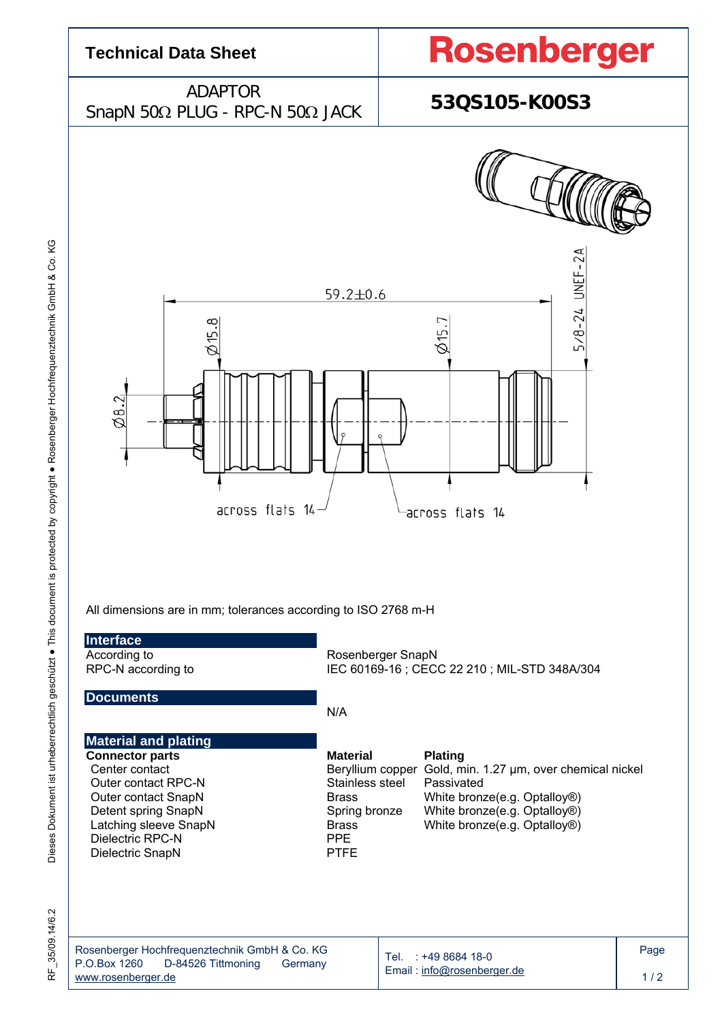

RF\_35/09.14/6.2 35/09.14/6.2 눈